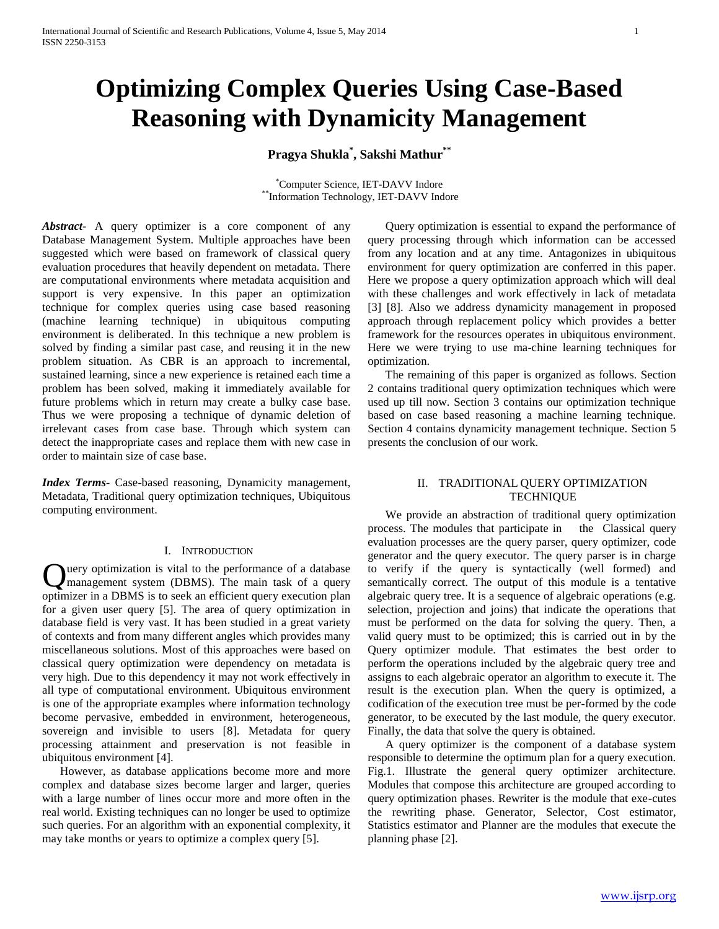# **Optimizing Complex Queries Using Case-Based Reasoning with Dynamicity Management**

**Pragya Shukla\* , Sakshi Mathur\*\***

\*Computer Science, IET-DAVV Indore \*\*Information Technology, IET-DAVV Indore

*Abstract***-** A query optimizer is a core component of any Database Management System. Multiple approaches have been suggested which were based on framework of classical query evaluation procedures that heavily dependent on metadata. There are computational environments where metadata acquisition and support is very expensive. In this paper an optimization technique for complex queries using case based reasoning (machine learning technique) in ubiquitous computing environment is deliberated. In this technique a new problem is solved by finding a similar past case, and reusing it in the new problem situation. As CBR is an approach to incremental, sustained learning, since a new experience is retained each time a problem has been solved, making it immediately available for future problems which in return may create a bulky case base. Thus we were proposing a technique of dynamic deletion of irrelevant cases from case base. Through which system can detect the inappropriate cases and replace them with new case in order to maintain size of case base.

*Index Terms*- Case-based reasoning, Dynamicity management, Metadata, Traditional query optimization techniques, Ubiquitous computing environment.

#### I. INTRODUCTION

uery optimization is vital to the performance of a database management system (DBMS). The main task of a query **Q** uery optimization is vital to the performance of a database management system (DBMS). The main task of a query optimizer in a DBMS is to seek an efficient query execution plan for a given user query [5]. The area of query optimization in database field is very vast. It has been studied in a great variety of contexts and from many different angles which provides many miscellaneous solutions. Most of this approaches were based on classical query optimization were dependency on metadata is very high. Due to this dependency it may not work effectively in all type of computational environment. Ubiquitous environment is one of the appropriate examples where information technology become pervasive, embedded in environment, heterogeneous, sovereign and invisible to users [8]. Metadata for query processing attainment and preservation is not feasible in ubiquitous environment [4].

 However, as database applications become more and more complex and database sizes become larger and larger, queries with a large number of lines occur more and more often in the real world. Existing techniques can no longer be used to optimize such queries. For an algorithm with an exponential complexity, it may take months or years to optimize a complex query [5].

 Query optimization is essential to expand the performance of query processing through which information can be accessed from any location and at any time. Antagonizes in ubiquitous environment for query optimization are conferred in this paper. Here we propose a query optimization approach which will deal with these challenges and work effectively in lack of metadata [3] [8]. Also we address dynamicity management in proposed approach through replacement policy which provides a better framework for the resources operates in ubiquitous environment. Here we were trying to use ma-chine learning techniques for optimization.

 The remaining of this paper is organized as follows. Section 2 contains traditional query optimization techniques which were used up till now. Section 3 contains our optimization technique based on case based reasoning a machine learning technique. Section 4 contains dynamicity management technique. Section 5 presents the conclusion of our work.

# II. TRADITIONAL QUERY OPTIMIZATION **TECHNIQUE**

 We provide an abstraction of traditional query optimization process. The modules that participate in the Classical query evaluation processes are the query parser, query optimizer, code generator and the query executor. The query parser is in charge to verify if the query is syntactically (well formed) and semantically correct. The output of this module is a tentative algebraic query tree. It is a sequence of algebraic operations (e.g. selection, projection and joins) that indicate the operations that must be performed on the data for solving the query. Then, a valid query must to be optimized; this is carried out in by the Query optimizer module. That estimates the best order to perform the operations included by the algebraic query tree and assigns to each algebraic operator an algorithm to execute it. The result is the execution plan. When the query is optimized, a codification of the execution tree must be per-formed by the code generator, to be executed by the last module, the query executor. Finally, the data that solve the query is obtained.

 A query optimizer is the component of a database system responsible to determine the optimum plan for a query execution. Fig.1. Illustrate the general query optimizer architecture. Modules that compose this architecture are grouped according to query optimization phases. Rewriter is the module that exe-cutes the rewriting phase. Generator, Selector, Cost estimator, Statistics estimator and Planner are the modules that execute the planning phase [2].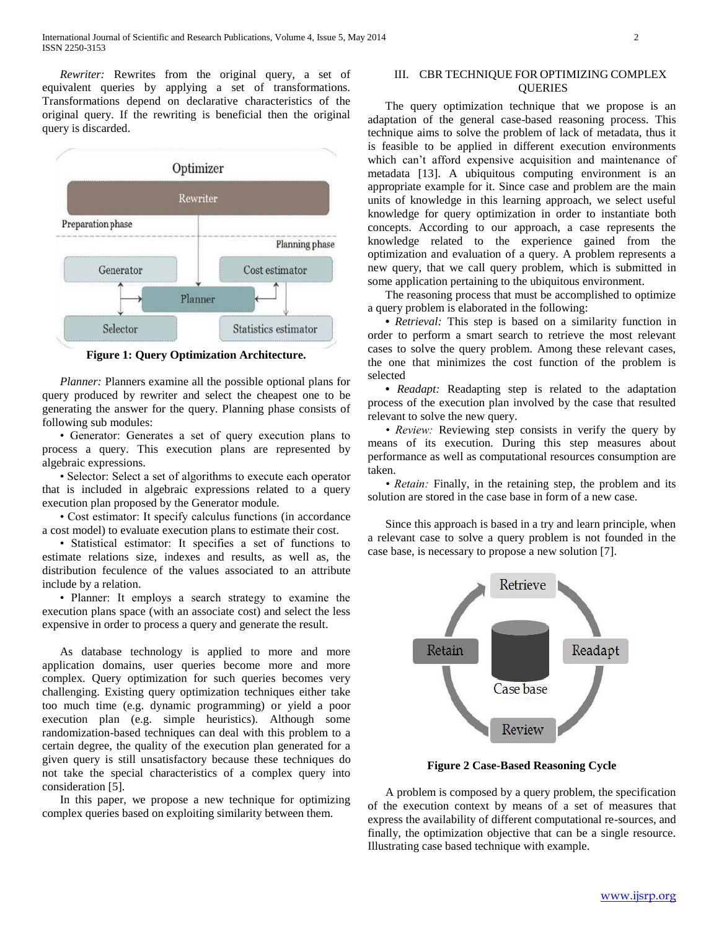*Rewriter:* Rewrites from the original query, a set of equivalent queries by applying a set of transformations. Transformations depend on declarative characteristics of the original query. If the rewriting is beneficial then the original query is discarded.



**Figure 1: Query Optimization Architecture.**

 *Planner:* Planners examine all the possible optional plans for query produced by rewriter and select the cheapest one to be generating the answer for the query. Planning phase consists of following sub modules:

 • Generator: Generates a set of query execution plans to process a query. This execution plans are represented by algebraic expressions.

 • Selector: Select a set of algorithms to execute each operator that is included in algebraic expressions related to a query execution plan proposed by the Generator module.

 • Cost estimator: It specify calculus functions (in accordance a cost model) to evaluate execution plans to estimate their cost.

 • Statistical estimator: It specifies a set of functions to estimate relations size, indexes and results, as well as, the distribution feculence of the values associated to an attribute include by a relation.

 • Planner: It employs a search strategy to examine the execution plans space (with an associate cost) and select the less expensive in order to process a query and generate the result.

 As database technology is applied to more and more application domains, user queries become more and more complex. Query optimization for such queries becomes very challenging. Existing query optimization techniques either take too much time (e.g. dynamic programming) or yield a poor execution plan (e.g. simple heuristics). Although some randomization-based techniques can deal with this problem to a certain degree, the quality of the execution plan generated for a given query is still unsatisfactory because these techniques do not take the special characteristics of a complex query into consideration [5].

 In this paper, we propose a new technique for optimizing complex queries based on exploiting similarity between them.

## III. CBR TECHNIQUE FOR OPTIMIZING COMPLEX **OUERIES**

 The query optimization technique that we propose is an adaptation of the general case-based reasoning process. This technique aims to solve the problem of lack of metadata, thus it is feasible to be applied in different execution environments which can't afford expensive acquisition and maintenance of metadata [13]. A ubiquitous computing environment is an appropriate example for it. Since case and problem are the main units of knowledge in this learning approach, we select useful knowledge for query optimization in order to instantiate both concepts. According to our approach, a case represents the knowledge related to the experience gained from the optimization and evaluation of a query. A problem represents a new query, that we call query problem, which is submitted in some application pertaining to the ubiquitous environment.

 The reasoning process that must be accomplished to optimize a query problem is elaborated in the following:

 **•** *Retrieval:* This step is based on a similarity function in order to perform a smart search to retrieve the most relevant cases to solve the query problem. Among these relevant cases, the one that minimizes the cost function of the problem is selected

• *Readapt:* Readapting step is related to the adaptation process of the execution plan involved by the case that resulted relevant to solve the new query.

 *• Review:* Reviewing step consists in verify the query by means of its execution. During this step measures about performance as well as computational resources consumption are taken.

 *• Retain:* Finally, in the retaining step, the problem and its solution are stored in the case base in form of a new case.

 Since this approach is based in a try and learn principle, when a relevant case to solve a query problem is not founded in the case base, is necessary to propose a new solution [7].



**Figure 2 Case-Based Reasoning Cycle**

 A problem is composed by a query problem, the specification of the execution context by means of a set of measures that express the availability of different computational re-sources, and finally, the optimization objective that can be a single resource. Illustrating case based technique with example.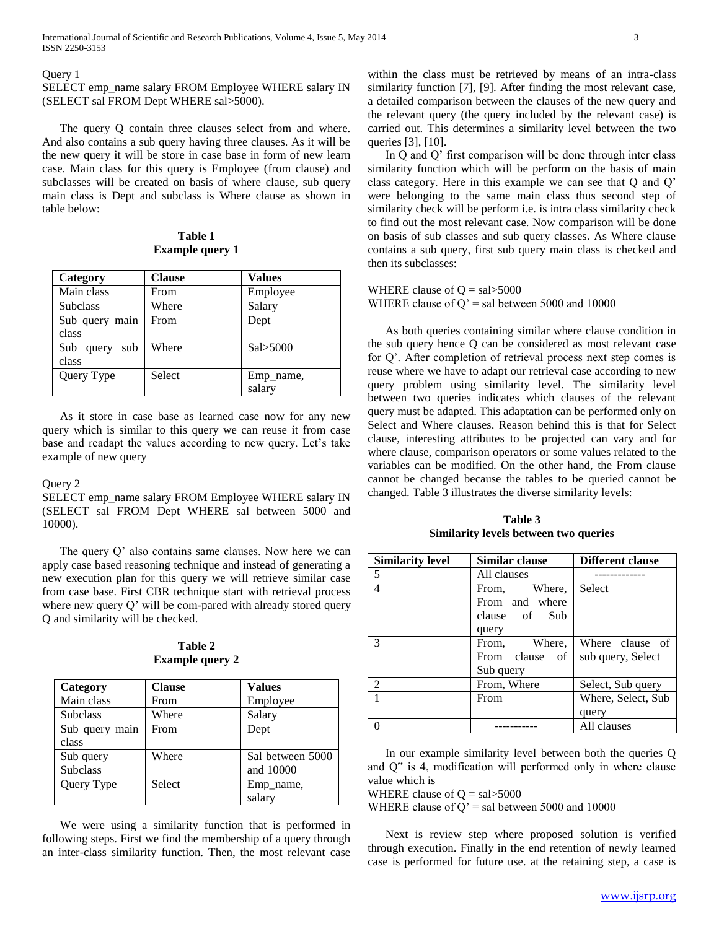#### Query 1

SELECT emp\_name salary FROM Employee WHERE salary IN (SELECT sal FROM Dept WHERE sal>5000).

 The query Q contain three clauses select from and where. And also contains a sub query having three clauses. As it will be the new query it will be store in case base in form of new learn case. Main class for this query is Employee (from clause) and subclasses will be created on basis of where clause, sub query main class is Dept and subclass is Where clause as shown in table below:

## **Table 1 Example query 1**

| Category                | <b>Clause</b> | <b>Values</b> |
|-------------------------|---------------|---------------|
| Main class              | From          | Employee      |
| <b>Subclass</b>         | Where         | Salary        |
| Sub query main<br>class | From          | Dept          |
| Sub query<br>sub        | Where         | Sal > 5000    |
| class                   |               |               |
| Query Type              | <b>Select</b> | Emp_name,     |
|                         |               | salary        |

 As it store in case base as learned case now for any new query which is similar to this query we can reuse it from case base and readapt the values according to new query. Let's take example of new query

#### Query 2

SELECT emp\_name salary FROM Employee WHERE salary IN (SELECT sal FROM Dept WHERE sal between 5000 and 10000).

 The query Q' also contains same clauses. Now here we can apply case based reasoning technique and instead of generating a new execution plan for this query we will retrieve similar case from case base. First CBR technique start with retrieval process where new query Q' will be com-pared with already stored query Q and similarity will be checked.

| Table 2                |  |
|------------------------|--|
| <b>Example query 2</b> |  |

| Category        | <b>Clause</b> | <b>Values</b>    |
|-----------------|---------------|------------------|
| Main class      | From          | Employee         |
| <b>Subclass</b> | Where         | Salary           |
| Sub query main  | From          | Dept             |
| class           |               |                  |
| Sub query       | Where         | Sal between 5000 |
| <b>Subclass</b> |               | and 10000        |
| Query Type      | Select        | Emp_name,        |
|                 |               | salary           |

 We were using a similarity function that is performed in following steps. First we find the membership of a query through an inter-class similarity function. Then, the most relevant case

within the class must be retrieved by means of an intra-class similarity function [7], [9]. After finding the most relevant case, a detailed comparison between the clauses of the new query and the relevant query (the query included by the relevant case) is carried out. This determines a similarity level between the two queries [3], [10].

 In Q and Q' first comparison will be done through inter class similarity function which will be perform on the basis of main class category. Here in this example we can see that Q and Q' were belonging to the same main class thus second step of similarity check will be perform i.e. is intra class similarity check to find out the most relevant case. Now comparison will be done on basis of sub classes and sub query classes. As Where clause contains a sub query, first sub query main class is checked and then its subclasses:

## WHERE clause of  $Q = \text{sal} > 5000$

## WHERE clause of  $Q'$  = sal between 5000 and 10000

 As both queries containing similar where clause condition in the sub query hence Q can be considered as most relevant case for Q'. After completion of retrieval process next step comes is reuse where we have to adapt our retrieval case according to new query problem using similarity level. The similarity level between two queries indicates which clauses of the relevant query must be adapted. This adaptation can be performed only on Select and Where clauses. Reason behind this is that for Select clause, interesting attributes to be projected can vary and for where clause, comparison operators or some values related to the variables can be modified. On the other hand, the From clause cannot be changed because the tables to be queried cannot be changed. Table 3 illustrates the diverse similarity levels:

**Table 3 Similarity levels between two queries**

| <b>Similarity level</b> | Similar clause  | <b>Different clause</b> |
|-------------------------|-----------------|-------------------------|
| 5                       | All clauses     |                         |
| $\overline{4}$          | From, Where,    | Select                  |
|                         | From and where  |                         |
|                         | clause of Sub   |                         |
|                         | query           |                         |
| $\mathcal{R}$           | Where,<br>From, | Where clause of         |
|                         | From clause of  | sub query, Select       |
|                         | Sub query       |                         |
| $\mathcal{L}$           | From, Where     | Select, Sub query       |
|                         | From            | Where, Select, Sub      |
|                         |                 | query                   |
| ∩                       |                 | All clauses             |

 In our example similarity level between both the queries Q and Q" is 4, modification will performed only in where clause value which is

WHERE clause of  $Q = \text{sal} > 5000$ 

WHERE clause of  $Q'$  = sal between 5000 and 10000

 Next is review step where proposed solution is verified through execution. Finally in the end retention of newly learned case is performed for future use. at the retaining step, a case is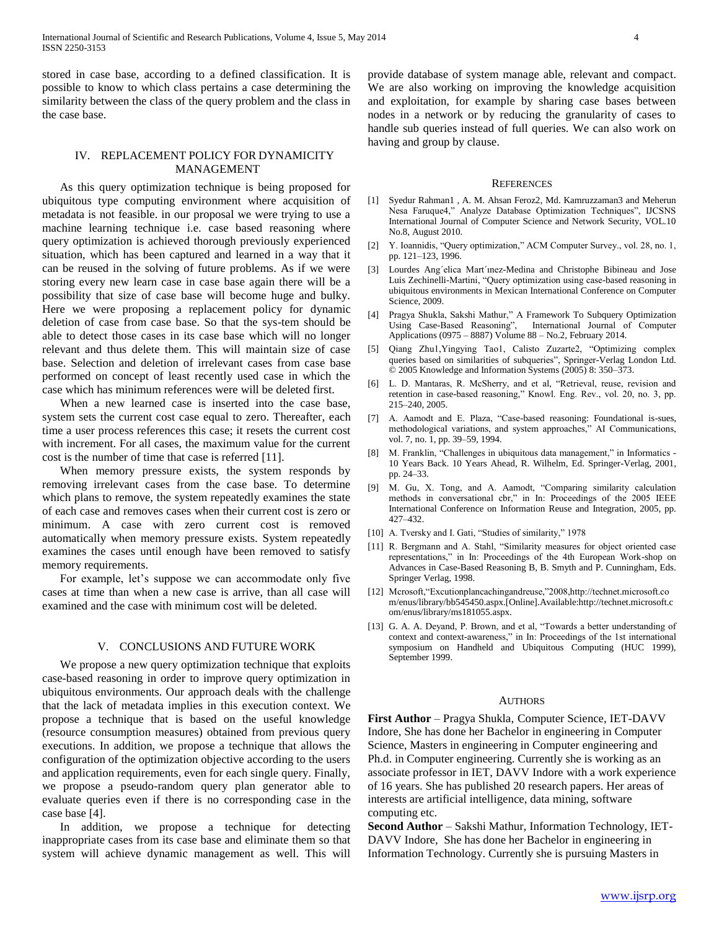stored in case base, according to a defined classification. It is possible to know to which class pertains a case determining the similarity between the class of the query problem and the class in the case base.

# IV. REPLACEMENT POLICY FOR DYNAMICITY MANAGEMENT

 As this query optimization technique is being proposed for ubiquitous type computing environment where acquisition of metadata is not feasible. in our proposal we were trying to use a machine learning technique i.e. case based reasoning where query optimization is achieved thorough previously experienced situation, which has been captured and learned in a way that it can be reused in the solving of future problems. As if we were storing every new learn case in case base again there will be a possibility that size of case base will become huge and bulky. Here we were proposing a replacement policy for dynamic deletion of case from case base. So that the sys-tem should be able to detect those cases in its case base which will no longer relevant and thus delete them. This will maintain size of case base. Selection and deletion of irrelevant cases from case base performed on concept of least recently used case in which the case which has minimum references were will be deleted first.

 When a new learned case is inserted into the case base, system sets the current cost case equal to zero. Thereafter, each time a user process references this case; it resets the current cost with increment. For all cases, the maximum value for the current cost is the number of time that case is referred [11].

 When memory pressure exists, the system responds by removing irrelevant cases from the case base. To determine which plans to remove, the system repeatedly examines the state of each case and removes cases when their current cost is zero or minimum. A case with zero current cost is removed automatically when memory pressure exists. System repeatedly examines the cases until enough have been removed to satisfy memory requirements.

 For example, let's suppose we can accommodate only five cases at time than when a new case is arrive, than all case will examined and the case with minimum cost will be deleted.

#### V. CONCLUSIONS AND FUTURE WORK

 We propose a new query optimization technique that exploits case-based reasoning in order to improve query optimization in ubiquitous environments. Our approach deals with the challenge that the lack of metadata implies in this execution context. We propose a technique that is based on the useful knowledge (resource consumption measures) obtained from previous query executions. In addition, we propose a technique that allows the configuration of the optimization objective according to the users and application requirements, even for each single query. Finally, we propose a pseudo-random query plan generator able to evaluate queries even if there is no corresponding case in the case base [4].

 In addition, we propose a technique for detecting inappropriate cases from its case base and eliminate them so that system will achieve dynamic management as well. This will

provide database of system manage able, relevant and compact. We are also working on improving the knowledge acquisition and exploitation, for example by sharing case bases between nodes in a network or by reducing the granularity of cases to handle sub queries instead of full queries. We can also work on having and group by clause.

#### **REFERENCES**

- [1] Syedur Rahman1 , A. M. Ahsan Feroz2, Md. Kamruzzaman3 and Meherun Nesa Faruque4," Analyze Database Optimization Techniques", IJCSNS International Journal of Computer Science and Network Security, VOL.10 No.8, August 2010.
- [2] Y. Ioannidis, "Query optimization," ACM Computer Survey., vol. 28, no. 1, pp. 121–123, 1996.
- [3] Lourdes Ang´elica Mart´ınez-Medina and Christophe Bibineau and Jose Luis Zechinelli-Martini, "Query optimization using case-based reasoning in ubiquitous environments in Mexican International Conference on Computer Science, 2009.
- [4] Pragya Shukla, Sakshi Mathur," A Framework To Subquery Optimization Using Case-Based Reasoning", International Journal of Computer Applications (0975 – 8887) Volume 88 – No.2, February 2014.
- [5] Qiang Zhu1,Yingying Tao1, Calisto Zuzarte2, "Optimizing complex queries based on similarities of subqueries", Springer-Verlag London Ltd. © 2005 Knowledge and Information Systems (2005) 8: 350–373.
- [6] L. D. Mantaras, R. McSherry, and et al, "Retrieval, reuse, revision and retention in case-based reasoning," Knowl. Eng. Rev., vol. 20, no. 3, pp. 215–240, 2005.
- [7] A. Aamodt and E. Plaza, "Case-based reasoning: Foundational is-sues, methodological variations, and system approaches," AI Communications, vol. 7, no. 1, pp. 39–59, 1994.
- [8] M. Franklin, "Challenges in ubiquitous data management," in Informatics 10 Years Back. 10 Years Ahead, R. Wilhelm, Ed. Springer-Verlag, 2001, pp. 24–33.
- [9] M. Gu, X. Tong, and A. Aamodt, "Comparing similarity calculation methods in conversational cbr," in In: Proceedings of the 2005 IEEE International Conference on Information Reuse and Integration, 2005, pp. 427–432.
- [10] A. Tversky and I. Gati, "Studies of similarity," 1978
- [11] R. Bergmann and A. Stahl, "Similarity measures for object oriented case representations," in In: Proceedings of the 4th European Work-shop on Advances in Case-Based Reasoning B, B. Smyth and P. Cunningham, Eds. Springer Verlag, 1998.
- [12] Mcrosoft,"Excutionplancachingandreuse,"2008,http://technet.microsoft.co m/enus/library/bb545450.aspx.[Online].Available:http://technet.microsoft.c om/enus/library/ms181055.aspx.
- [13] G. A. A. Deyand, P. Brown, and et al, "Towards a better understanding of context and context-awareness," in In: Proceedings of the 1st international symposium on Handheld and Ubiquitous Computing (HUC 1999), September 1999.

#### **AUTHORS**

**First Author** – Pragya Shukla, Computer Science, IET-DAVV Indore, She has done her Bachelor in engineering in Computer Science, Masters in engineering in Computer engineering and Ph.d. in Computer engineering. Currently she is working as an associate professor in IET, DAVV Indore with a work experience of 16 years. She has published 20 research papers. Her areas of interests are artificial intelligence, data mining, software computing etc.

**Second Author** – Sakshi Mathur, Information Technology, IET-DAVV Indore, She has done her Bachelor in engineering in Information Technology. Currently she is pursuing Masters in